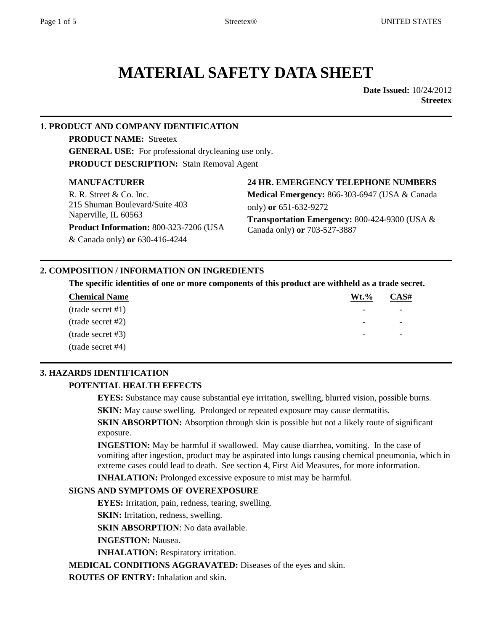# **MATERIAL SAFETY DATA SHEET**

**Date Issued:** 10/24/2012 **Streetex** 

#### **1. PRODUCT AND COMPANY IDENTIFICATION**

**PRODUCT NAME:** Streetex **GENERAL USE:** For professional drycleaning use only. **PRODUCT DESCRIPTION:** Stain Removal Agent

#### **MANUFACTURER**

R. R. Street & Co. Inc. 215 Shuman Boulevard/Suite 403 Naperville, IL 60563

**Product Information:** 800-323-7206 (USA

& Canada only) **or** 630-416-4244

#### **24 HR. EMERGENCY TELEPHONE NUMBERS**

**Medical Emergency:** 866-303-6947 (USA & Canada only) **or** 651-632-9272 **Transportation Emergency:** 800-424-9300 (USA & Canada only) **or** 703-527-3887

#### **2. COMPOSITION / INFORMATION ON INGREDIENTS**

**The specific identities of one or more components of this product are withheld as a trade secret.**

| <b>Chemical Name</b>       | $Wt.\%$ | CAS# |
|----------------------------|---------|------|
| $(\text{trade secret #1})$ |         |      |
| trade secret #2)           |         |      |
| (trade secret #3)          |         |      |
| trade secret #4)           |         |      |

#### **3. HAZARDS IDENTIFICATION**

#### **POTENTIAL HEALTH EFFECTS**

**EYES:** Substance may cause substantial eye irritation, swelling, blurred vision, possible burns.

**SKIN:** May cause swelling. Prolonged or repeated exposure may cause dermatitis.

**SKIN ABSORPTION:** Absorption through skin is possible but not a likely route of significant exposure.

**INGESTION:** May be harmful if swallowed. May cause diarrhea, vomiting. In the case of vomiting after ingestion, product may be aspirated into lungs causing chemical pneumonia, which in extreme cases could lead to death. See section 4, First Aid Measures, for more information.

**INHALATION:** Prolonged excessive exposure to mist may be harmful.

#### **SIGNS AND SYMPTOMS OF OVEREXPOSURE**

**EYES:** Irritation, pain, redness, tearing, swelling.

**SKIN:** Irritation, redness, swelling.

**SKIN ABSORPTION**: No data available.

**INGESTION:** Nausea.

**INHALATION:** Respiratory irritation.

**MEDICAL CONDITIONS AGGRAVATED:** Diseases of the eyes and skin.

**ROUTES OF ENTRY:** Inhalation and skin.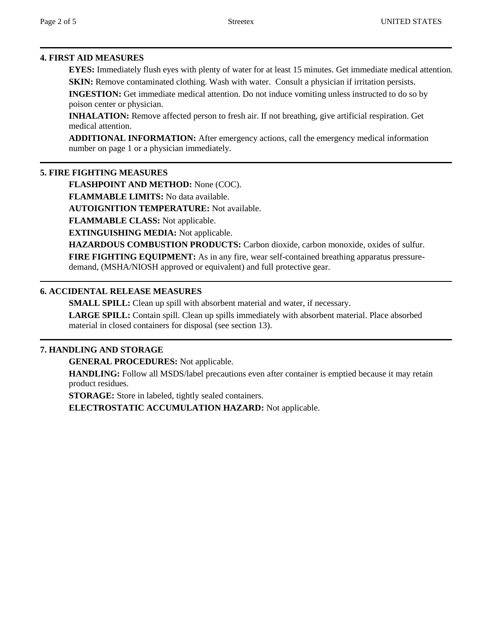#### **4. FIRST AID MEASURES**

**EYES:** Immediately flush eyes with plenty of water for at least 15 minutes. Get immediate medical attention. **SKIN:** Remove contaminated clothing. Wash with water. Consult a physician if irritation persists.

**INGESTION:** Get immediate medical attention. Do not induce vomiting unless instructed to do so by poison center or physician.

**INHALATION:** Remove affected person to fresh air. If not breathing, give artificial respiration. Get medical attention.

**ADDITIONAL INFORMATION:** After emergency actions, call the emergency medical information number on page 1 or a physician immediately.

#### **5. FIRE FIGHTING MEASURES**

**FLASHPOINT AND METHOD:** None (COC).

**FLAMMABLE LIMITS:** No data available.

**AUTOIGNITION TEMPERATURE:** Not available.

**FLAMMABLE CLASS:** Not applicable.

**EXTINGUISHING MEDIA:** Not applicable.

**HAZARDOUS COMBUSTION PRODUCTS:** Carbon dioxide, carbon monoxide, oxides of sulfur. **FIRE FIGHTING EQUIPMENT:** As in any fire, wear self-contained breathing apparatus pressuredemand, (MSHA/NIOSH approved or equivalent) and full protective gear.

#### **6. ACCIDENTAL RELEASE MEASURES**

**SMALL SPILL:** Clean up spill with absorbent material and water, if necessary.

**LARGE SPILL:** Contain spill. Clean up spills immediately with absorbent material. Place absorbed material in closed containers for disposal (see section 13).

#### **7. HANDLING AND STORAGE**

**GENERAL PROCEDURES:** Not applicable.

**HANDLING:** Follow all MSDS/label precautions even after container is emptied because it may retain product residues.

**STORAGE:** Store in labeled, tightly sealed containers.

**ELECTROSTATIC ACCUMULATION HAZARD:** Not applicable.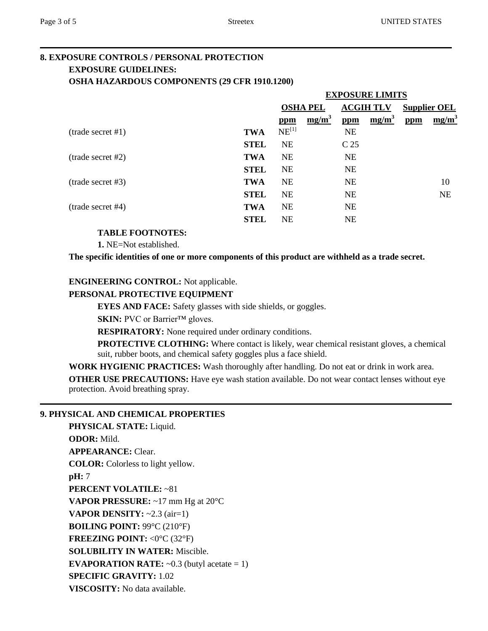#### **8. EXPOSURE CONTROLS / PERSONAL PROTECTION EXPOSURE GUIDELINES: OSHA HAZARDOUS COMPONENTS (29 CFR 1910.1200)**

|                            |             | <b>EXPOSURE LIMITS</b> |          |                  |          |                     |           |
|----------------------------|-------------|------------------------|----------|------------------|----------|---------------------|-----------|
|                            |             | <b>OSHA PEL</b>        |          | <b>ACGIH TLV</b> |          | <b>Supplier OEL</b> |           |
|                            |             | ppm                    | $mg/m^3$ | ppm              | $mg/m^3$ | ppm                 | $mg/m^3$  |
| (trainde secret #1)        | <b>TWA</b>  | $NE^{[1]}$             |          | <b>NE</b>        |          |                     |           |
|                            | <b>STEL</b> | <b>NE</b>              |          | C <sub>25</sub>  |          |                     |           |
| $(\text{trade secret #2})$ | <b>TWA</b>  | <b>NE</b>              |          | <b>NE</b>        |          |                     |           |
|                            | <b>STEL</b> | <b>NE</b>              |          | <b>NE</b>        |          |                     |           |
| trade secret #3)           | <b>TWA</b>  | <b>NE</b>              |          | <b>NE</b>        |          |                     | 10        |
|                            | <b>STEL</b> | <b>NE</b>              |          | <b>NE</b>        |          |                     | <b>NE</b> |
| (trade secret #4)          | <b>TWA</b>  | <b>NE</b>              |          | <b>NE</b>        |          |                     |           |
|                            | <b>STEL</b> | <b>NE</b>              |          | <b>NE</b>        |          |                     |           |

#### **TABLE FOOTNOTES:**

**1.** NE=Not established.

**The specific identities of one or more components of this product are withheld as a trade secret.**

#### **ENGINEERING CONTROL:** Not applicable.

#### **PERSONAL PROTECTIVE EQUIPMENT**

**EYES AND FACE:** Safety glasses with side shields, or goggles.

**SKIN:** PVC or Barrier™ gloves.

**RESPIRATORY:** None required under ordinary conditions.

**PROTECTIVE CLOTHING:** Where contact is likely, wear chemical resistant gloves, a chemical suit, rubber boots, and chemical safety goggles plus a face shield.

**WORK HYGIENIC PRACTICES:** Wash thoroughly after handling. Do not eat or drink in work area.

**OTHER USE PRECAUTIONS:** Have eye wash station available. Do not wear contact lenses without eye protection. Avoid breathing spray.

#### **9. PHYSICAL AND CHEMICAL PROPERTIES**

**PHYSICAL STATE:** Liquid. **ODOR:** Mild. **APPEARANCE:** Clear. **COLOR:** Colorless to light yellow. **pH:** 7 **PERCENT VOLATILE:** ~81 **VAPOR PRESSURE:** ~17 mm Hg at 20°C **VAPOR DENSITY:**  $\sim$  2.3 (air=1) **BOILING POINT:** 99°C (210°F) **FREEZING POINT:** <0°C (32°F) **SOLUBILITY IN WATER:** Miscible. **EVAPORATION RATE:**  $\sim 0.3$  (butyl acetate = 1) **SPECIFIC GRAVITY:** 1.02 **VISCOSITY:** No data available.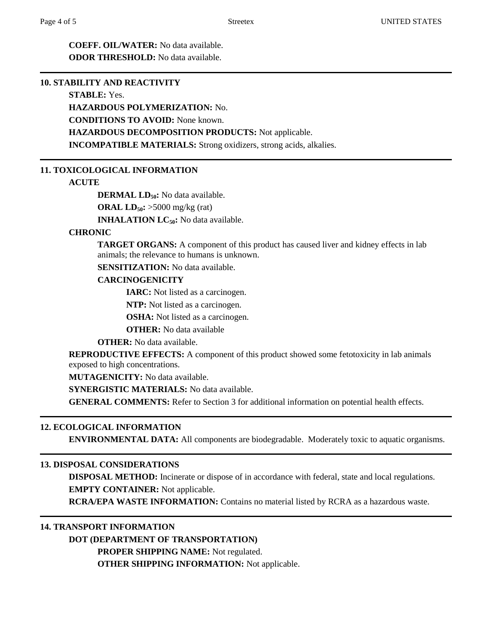**COEFF. OIL/WATER:** No data available. **ODOR THRESHOLD:** No data available.

#### **10. STABILITY AND REACTIVITY**

#### **STABLE:** Yes.

**HAZARDOUS POLYMERIZATION:** No.

**CONDITIONS TO AVOID:** None known.

**HAZARDOUS DECOMPOSITION PRODUCTS:** Not applicable.

**INCOMPATIBLE MATERIALS:** Strong oxidizers, strong acids, alkalies.

#### **11. TOXICOLOGICAL INFORMATION**

#### **ACUTE**

**DERMAL LD**<sub>50</sub>**:** No data available.

**ORAL LD50:** >5000 mg/kg (rat)

**INHALATION LC<sub>50</sub>:** No data available.

#### **CHRONIC**

**TARGET ORGANS:** A component of this product has caused liver and kidney effects in lab animals; the relevance to humans is unknown.

**SENSITIZATION:** No data available.

#### **CARCINOGENICITY**

**IARC:** Not listed as a carcinogen.

**NTP:** Not listed as a carcinogen.

**OSHA:** Not listed as a carcinogen.

**OTHER:** No data available

**OTHER:** No data available.

**REPRODUCTIVE EFFECTS:** A component of this product showed some fetotoxicity in lab animals exposed to high concentrations.

**MUTAGENICITY:** No data available.

**SYNERGISTIC MATERIALS:** No data available.

**GENERAL COMMENTS:** Refer to Section 3 for additional information on potential health effects.

#### **12. ECOLOGICAL INFORMATION**

**ENVIRONMENTAL DATA:** All components are biodegradable. Moderately toxic to aquatic organisms.

#### **13. DISPOSAL CONSIDERATIONS**

**DISPOSAL METHOD:** Incinerate or dispose of in accordance with federal, state and local regulations. **EMPTY CONTAINER:** Not applicable.

**RCRA/EPA WASTE INFORMATION:** Contains no material listed by RCRA as a hazardous waste.

#### **14. TRANSPORT INFORMATION**

**DOT (DEPARTMENT OF TRANSPORTATION)**

**PROPER SHIPPING NAME:** Not regulated.

**OTHER SHIPPING INFORMATION:** Not applicable.